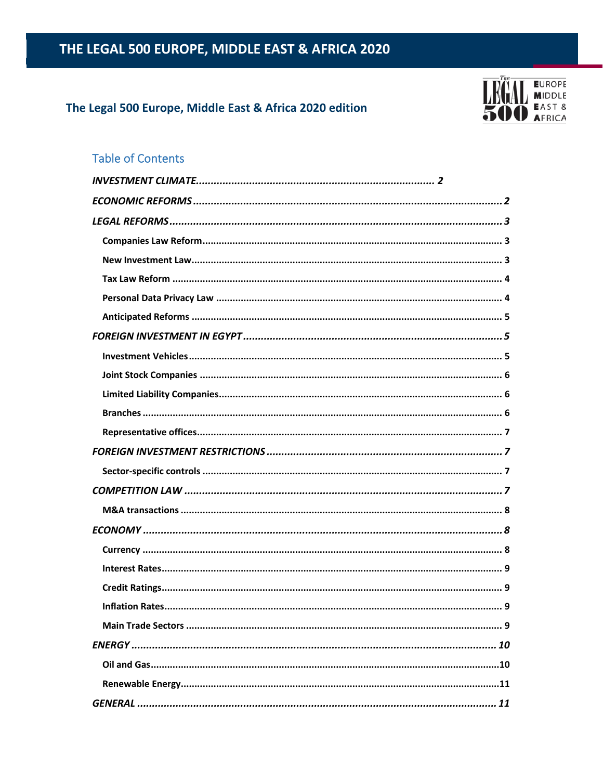### The Legal 500 Europe, Middle East & Africa 2020 edition



## **Table of Contents**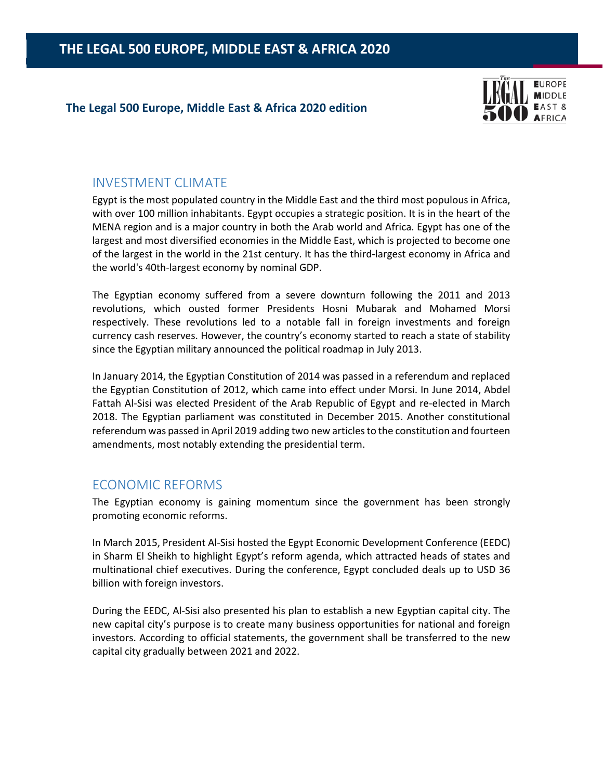### **The Legal 500 Europe, Middle East & Africa 2020 edition**



# INVESTMENT CLIMATE

Egypt is the most populated country in the Middle East and the third most populous in Africa, with over 100 million inhabitants. Egypt occupies a strategic position. It is in the heart of the MENA region and is a major country in both the Arab world and Africa. Egypt has one of the largest and most diversified economies in the Middle East, which is projected to become one of the largest in the world in the 21st century. It has the third-largest economy in Africa and the world's 40th‐largest economy by nominal GDP.

The Egyptian economy suffered from a severe downturn following the 2011 and 2013 revolutions, which ousted former Presidents Hosni Mubarak and Mohamed Morsi respectively. These revolutions led to a notable fall in foreign investments and foreign currency cash reserves. However, the country's economy started to reach a state of stability since the Egyptian military announced the political roadmap in July 2013.

In January 2014, the Egyptian Constitution of 2014 was passed in a referendum and replaced the Egyptian Constitution of 2012, which came into effect under Morsi. In June 2014, Abdel Fattah Al‐Sisi was elected President of the Arab Republic of Egypt and re‐elected in March 2018. The Egyptian parliament was constituted in December 2015. Another constitutional referendum was passed in April 2019 adding two new articles to the constitution and fourteen amendments, most notably extending the presidential term.

### ECONOMIC REFORMS

The Egyptian economy is gaining momentum since the government has been strongly promoting economic reforms.

In March 2015, President Al‐Sisi hosted the Egypt Economic Development Conference (EEDC) in Sharm El Sheikh to highlight Egypt's reform agenda, which attracted heads of states and multinational chief executives. During the conference, Egypt concluded deals up to USD 36 billion with foreign investors.

During the EEDC, Al‐Sisi also presented his plan to establish a new Egyptian capital city. The new capital city's purpose is to create many business opportunities for national and foreign investors. According to official statements, the government shall be transferred to the new capital city gradually between 2021 and 2022.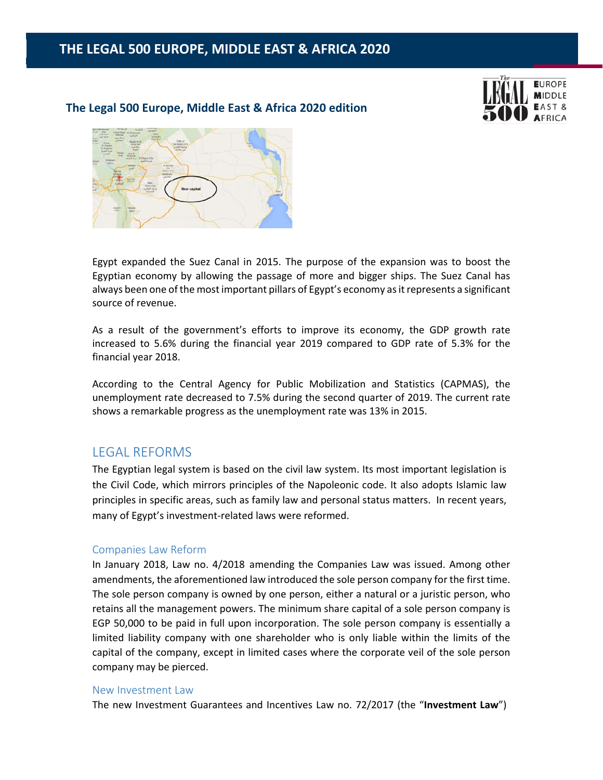#### **The Legal 500 Europe, Middle East & Africa 2020 edition**





Egypt expanded the Suez Canal in 2015. The purpose of the expansion was to boost the Egyptian economy by allowing the passage of more and bigger ships. The Suez Canal has always been one of the most important pillars of Egypt's economy as it represents a significant source of revenue.

As a result of the government's efforts to improve its economy, the GDP growth rate increased to 5.6% during the financial year 2019 compared to GDP rate of 5.3% for the financial year 2018.

According to the Central Agency for Public Mobilization and Statistics (CAPMAS), the unemployment rate decreased to 7.5% during the second quarter of 2019. The current rate shows a remarkable progress as the unemployment rate was 13% in 2015.

### LEGAL REFORMS

The Egyptian legal system is based on the civil law system. Its most important legislation is the Civil Code, which mirrors principles of the Napoleonic code. It also adopts Islamic law principles in specific areas, such as family law and personal status matters. In recent years, many of Egypt's investment‐related laws were reformed.

#### Companies Law Reform

In January 2018, Law no. 4/2018 amending the Companies Law was issued. Among other amendments, the aforementioned law introduced the sole person company for the first time. The sole person company is owned by one person, either a natural or a juristic person, who retains all the management powers. The minimum share capital of a sole person company is EGP 50,000 to be paid in full upon incorporation. The sole person company is essentially a limited liability company with one shareholder who is only liable within the limits of the capital of the company, except in limited cases where the corporate veil of the sole person company may be pierced.

#### New Investment Law

The new Investment Guarantees and Incentives Law no. 72/2017 (the "**Investment Law**")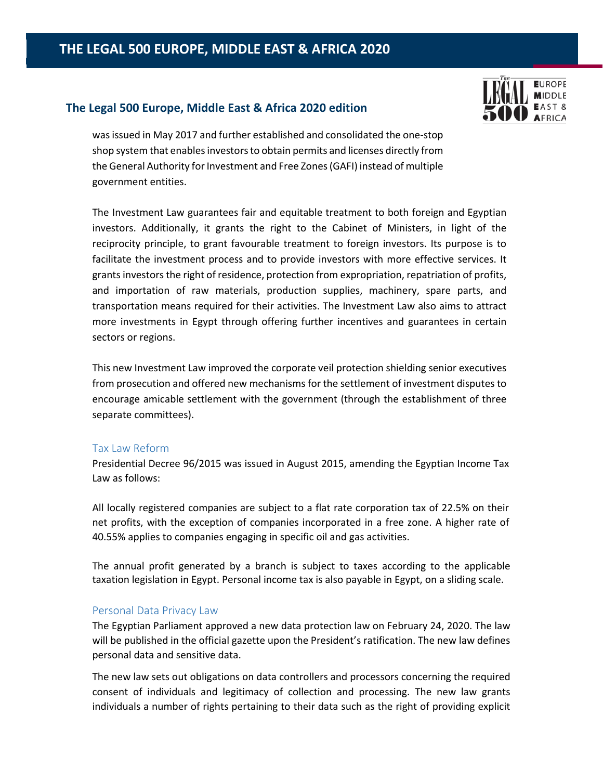### **The Legal 500 Europe, Middle East & Africa 2020 edition**



was issued in May 2017 and further established and consolidated the one‐stop shop system that enables investors to obtain permits and licenses directly from the General Authority for Investment and Free Zones (GAFI) instead of multiple government entities.

The Investment Law guarantees fair and equitable treatment to both foreign and Egyptian investors. Additionally, it grants the right to the Cabinet of Ministers, in light of the reciprocity principle, to grant favourable treatment to foreign investors. Its purpose is to facilitate the investment process and to provide investors with more effective services. It grants investors the right of residence, protection from expropriation, repatriation of profits, and importation of raw materials, production supplies, machinery, spare parts, and transportation means required for their activities. The Investment Law also aims to attract more investments in Egypt through offering further incentives and guarantees in certain sectors or regions.

This new Investment Law improved the corporate veil protection shielding senior executives from prosecution and offered new mechanisms for the settlement of investment disputes to encourage amicable settlement with the government (through the establishment of three separate committees).

#### Tax Law Reform

Presidential Decree 96/2015 was issued in August 2015, amending the Egyptian Income Tax Law as follows:

All locally registered companies are subject to a flat rate corporation tax of 22.5% on their net profits, with the exception of companies incorporated in a free zone. A higher rate of 40.55% applies to companies engaging in specific oil and gas activities.

The annual profit generated by a branch is subject to taxes according to the applicable taxation legislation in Egypt. Personal income tax is also payable in Egypt, on a sliding scale.

#### Personal Data Privacy Law

The Egyptian Parliament approved a new data protection law on February 24, 2020. The law will be published in the official gazette upon the President's ratification. The new law defines personal data and sensitive data.

The new law sets out obligations on data controllers and processors concerning the required consent of individuals and legitimacy of collection and processing. The new law grants individuals a number of rights pertaining to their data such as the right of providing explicit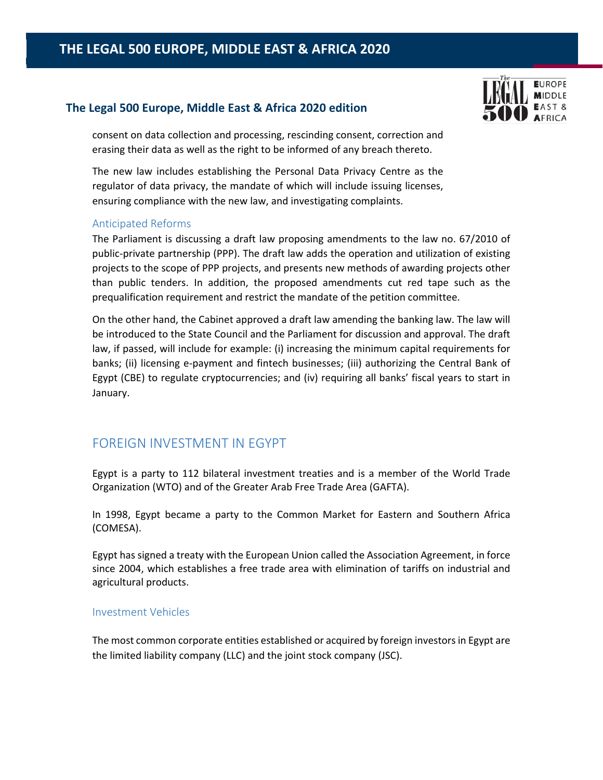### **The Legal 500 Europe, Middle East & Africa 2020 edition**



consent on data collection and processing, rescinding consent, correction and erasing their data as well as the right to be informed of any breach thereto.

The new law includes establishing the Personal Data Privacy Centre as the regulator of data privacy, the mandate of which will include issuing licenses, ensuring compliance with the new law, and investigating complaints.

### Anticipated Reforms

The Parliament is discussing a draft law proposing amendments to the law no. 67/2010 of public‐private partnership (PPP). The draft law adds the operation and utilization of existing projects to the scope of PPP projects, and presents new methods of awarding projects other than public tenders. In addition, the proposed amendments cut red tape such as the prequalification requirement and restrict the mandate of the petition committee.

On the other hand, the Cabinet approved a draft law amending the banking law. The law will be introduced to the State Council and the Parliament for discussion and approval. The draft law, if passed, will include for example: (i) increasing the minimum capital requirements for banks; (ii) licensing e‐payment and fintech businesses; (iii) authorizing the Central Bank of Egypt (CBE) to regulate cryptocurrencies; and (iv) requiring all banks' fiscal years to start in January.

### FOREIGN INVESTMENT IN EGYPT

Egypt is a party to 112 bilateral investment treaties and is a member of the World Trade Organization (WTO) and of the Greater Arab Free Trade Area (GAFTA).

In 1998, Egypt became a party to the Common Market for Eastern and Southern Africa (COMESA).

Egypt has signed a treaty with the European Union called the Association Agreement, in force since 2004, which establishes a free trade area with elimination of tariffs on industrial and agricultural products.

### Investment Vehicles

The most common corporate entities established or acquired by foreign investors in Egypt are the limited liability company (LLC) and the joint stock company (JSC).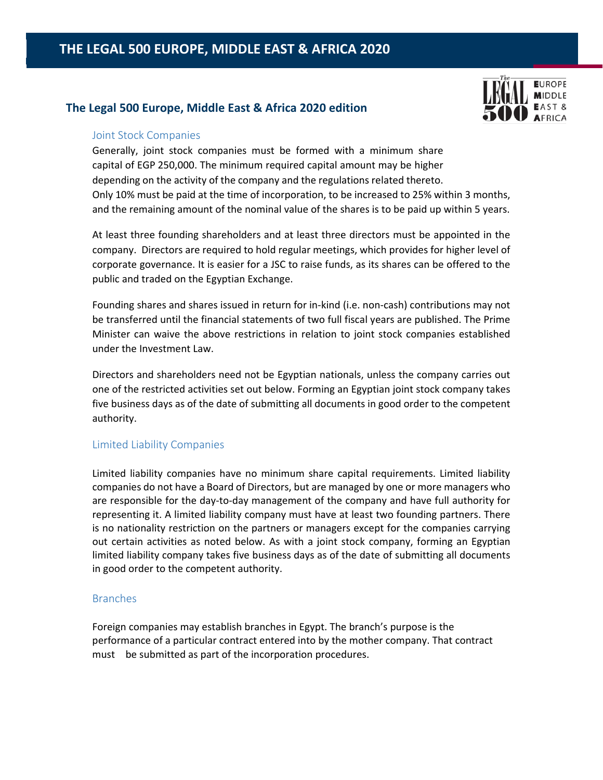### **The Legal 500 Europe, Middle East & Africa 2020 edition**



### Joint Stock Companies

Generally, joint stock companies must be formed with a minimum share capital of EGP 250,000. The minimum required capital amount may be higher depending on the activity of the company and the regulations related thereto. Only 10% must be paid at the time of incorporation, to be increased to 25% within 3 months, and the remaining amount of the nominal value of the shares is to be paid up within 5 years.

At least three founding shareholders and at least three directors must be appointed in the company. Directors are required to hold regular meetings, which provides for higher level of corporate governance. It is easier for a JSC to raise funds, as its shares can be offered to the public and traded on the Egyptian Exchange.

Founding shares and shares issued in return for in‐kind (i.e. non‐cash) contributions may not be transferred until the financial statements of two full fiscal years are published. The Prime Minister can waive the above restrictions in relation to joint stock companies established under the Investment Law.

Directors and shareholders need not be Egyptian nationals, unless the company carries out one of the restricted activities set out below. Forming an Egyptian joint stock company takes five business days as of the date of submitting all documents in good order to the competent authority.

### Limited Liability Companies

Limited liability companies have no minimum share capital requirements. Limited liability companies do not have a Board of Directors, but are managed by one or more managers who are responsible for the day‐to‐day management of the company and have full authority for representing it. A limited liability company must have at least two founding partners. There is no nationality restriction on the partners or managers except for the companies carrying out certain activities as noted below. As with a joint stock company, forming an Egyptian limited liability company takes five business days as of the date of submitting all documents in good order to the competent authority.

### Branches

Foreign companies may establish branches in Egypt. The branch's purpose is the performance of a particular contract entered into by the mother company. That contract must be submitted as part of the incorporation procedures.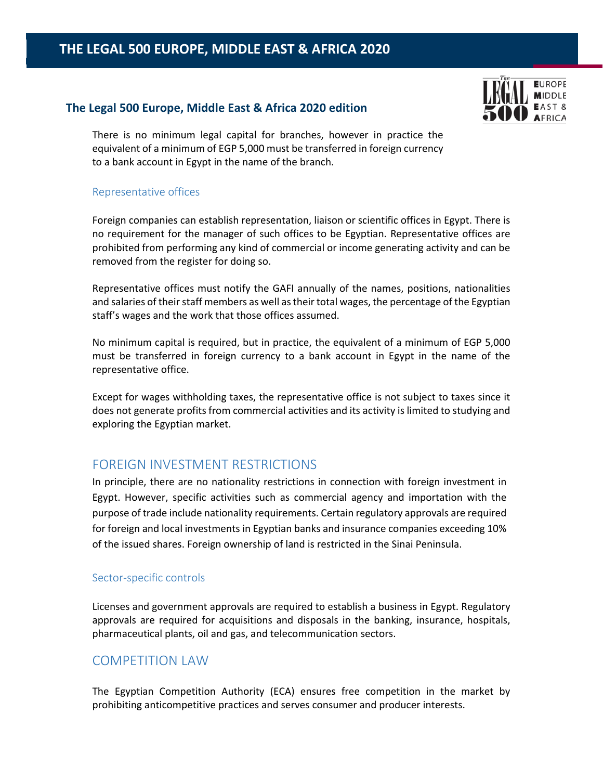### **The Legal 500 Europe, Middle East & Africa 2020 edition**



There is no minimum legal capital for branches, however in practice the equivalent of a minimum of EGP 5,000 must be transferred in foreign currency to a bank account in Egypt in the name of the branch.

### Representative offices

Foreign companies can establish representation, liaison or scientific offices in Egypt. There is no requirement for the manager of such offices to be Egyptian. Representative offices are prohibited from performing any kind of commercial or income generating activity and can be removed from the register for doing so.

Representative offices must notify the GAFI annually of the names, positions, nationalities and salaries of their staff members as well as their total wages, the percentage of the Egyptian staff's wages and the work that those offices assumed.

No minimum capital is required, but in practice, the equivalent of a minimum of EGP 5,000 must be transferred in foreign currency to a bank account in Egypt in the name of the representative office.

Except for wages withholding taxes, the representative office is not subject to taxes since it does not generate profits from commercial activities and its activity is limited to studying and exploring the Egyptian market.

# FOREIGN INVESTMENT RESTRICTIONS

In principle, there are no nationality restrictions in connection with foreign investment in Egypt. However, specific activities such as commercial agency and importation with the purpose of trade include nationality requirements. Certain regulatory approvals are required for foreign and local investments in Egyptian banks and insurance companies exceeding 10% of the issued shares. Foreign ownership of land is restricted in the Sinai Peninsula.

### Sector‐specific controls

Licenses and government approvals are required to establish a business in Egypt. Regulatory approvals are required for acquisitions and disposals in the banking, insurance, hospitals, pharmaceutical plants, oil and gas, and telecommunication sectors.

### COMPETITION LAW

The Egyptian Competition Authority (ECA) ensures free competition in the market by prohibiting anticompetitive practices and serves consumer and producer interests.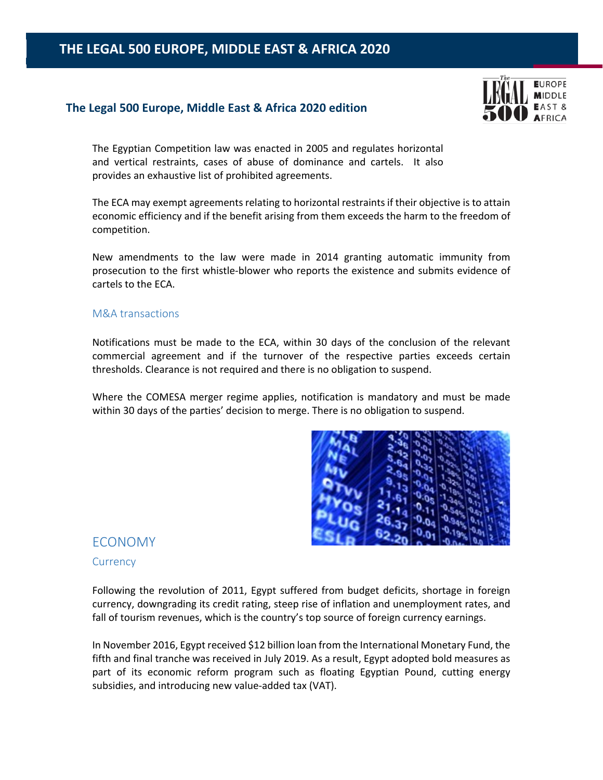### **The Legal 500 Europe, Middle East & Africa 2020 edition**



The Egyptian Competition law was enacted in 2005 and regulates horizontal and vertical restraints, cases of abuse of dominance and cartels. It also provides an exhaustive list of prohibited agreements.

The ECA may exempt agreements relating to horizontal restraints if their objective is to attain economic efficiency and if the benefit arising from them exceeds the harm to the freedom of competition.

New amendments to the law were made in 2014 granting automatic immunity from prosecution to the first whistle‐blower who reports the existence and submits evidence of cartels to the ECA.

### M&A transactions

Notifications must be made to the ECA, within 30 days of the conclusion of the relevant commercial agreement and if the turnover of the respective parties exceeds certain thresholds. Clearance is not required and there is no obligation to suspend.

Where the COMESA merger regime applies, notification is mandatory and must be made within 30 days of the parties' decision to merge. There is no obligation to suspend.



### ECONOMY

#### **Currency**

Following the revolution of 2011, Egypt suffered from budget deficits, shortage in foreign currency, downgrading its credit rating, steep rise of inflation and unemployment rates, and fall of tourism revenues, which is the country's top source of foreign currency earnings.

In November 2016, Egypt received \$12 billion loan from the International Monetary Fund, the fifth and final tranche was received in July 2019. As a result, Egypt adopted bold measures as part of its economic reform program such as floating Egyptian Pound, cutting energy subsidies, and introducing new value‐added tax (VAT).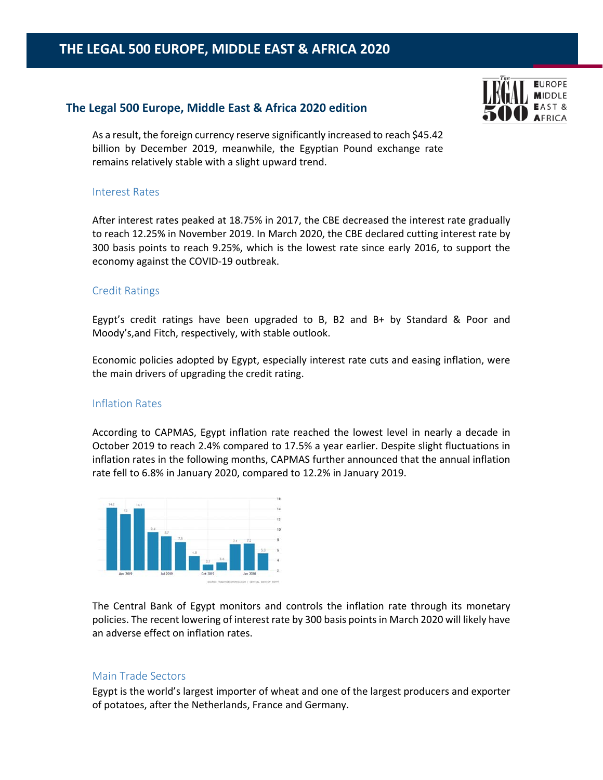### **The Legal 500 Europe, Middle East & Africa 2020 edition**



As a result, the foreign currency reserve significantly increased to reach \$45.42 billion by December 2019, meanwhile, the Egyptian Pound exchange rate remains relatively stable with a slight upward trend.

### Interest Rates

After interest rates peaked at 18.75% in 2017, the CBE decreased the interest rate gradually to reach 12.25% in November 2019. In March 2020, the CBE declared cutting interest rate by 300 basis points to reach 9.25%, which is the lowest rate since early 2016, to support the economy against the COVID‐19 outbreak.

### Credit Ratings

Egypt's credit ratings have been upgraded to B, B2 and B+ by Standard & Poor and Moody's,and Fitch, respectively, with stable outlook.

Economic policies adopted by Egypt, especially interest rate cuts and easing inflation, were the main drivers of upgrading the credit rating.

### Inflation Rates

According to CAPMAS, Egypt inflation rate reached the lowest level in nearly a decade in October 2019 to reach 2.4% compared to 17.5% a year earlier. Despite slight fluctuations in inflation rates in the following months, CAPMAS further announced that the annual inflation rate fell to 6.8% in January 2020, compared to 12.2% in January 2019.



The Central Bank of Egypt monitors and controls the inflation rate through its monetary policies. The recent lowering of interest rate by 300 basis points in March 2020 will likely have an adverse effect on inflation rates.

### Main Trade Sectors

Egypt is the world's largest importer of wheat and one of the largest producers and exporter of potatoes, after the Netherlands, France and Germany.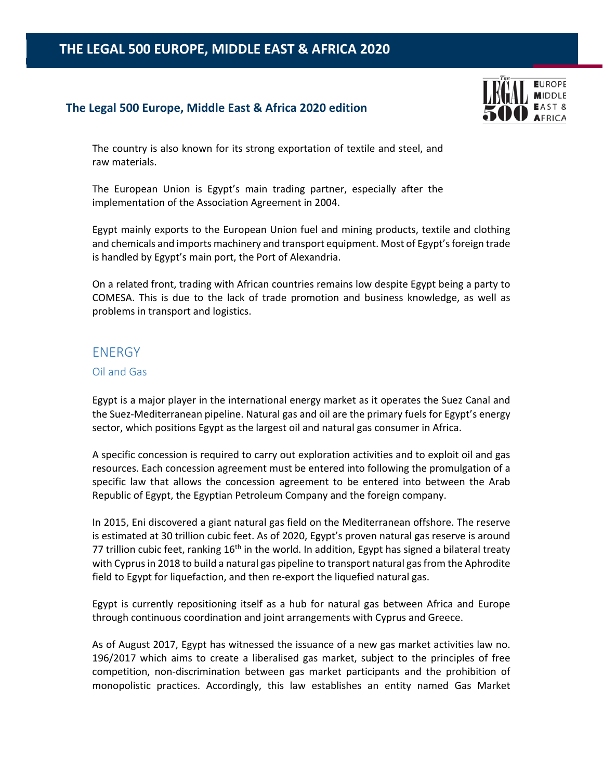### **The Legal 500 Europe, Middle East & Africa 2020 edition**



The country is also known for its strong exportation of textile and steel, and raw materials.

The European Union is Egypt's main trading partner, especially after the implementation of the Association Agreement in 2004.

Egypt mainly exports to the European Union fuel and mining products, textile and clothing and chemicals and imports machinery and transport equipment. Most of Egypt's foreign trade is handled by Egypt's main port, the Port of Alexandria.

On a related front, trading with African countries remains low despite Egypt being a party to COMESA. This is due to the lack of trade promotion and business knowledge, as well as problems in transport and logistics.

# **ENERGY**

### Oil and Gas

Egypt is a major player in the international energy market as it operates the Suez Canal and the Suez‐Mediterranean pipeline. Natural gas and oil are the primary fuels for Egypt's energy sector, which positions Egypt as the largest oil and natural gas consumer in Africa.

A specific concession is required to carry out exploration activities and to exploit oil and gas resources. Each concession agreement must be entered into following the promulgation of a specific law that allows the concession agreement to be entered into between the Arab Republic of Egypt, the Egyptian Petroleum Company and the foreign company.

In 2015, Eni discovered a giant natural gas field on the Mediterranean offshore. The reserve is estimated at 30 trillion cubic feet. As of 2020, Egypt's proven natural gas reserve is around 77 trillion cubic feet, ranking 16<sup>th</sup> in the world. In addition, Egypt has signed a bilateral treaty with Cyprus in 2018 to build a natural gas pipeline to transport natural gas from the Aphrodite field to Egypt for liquefaction, and then re‐export the liquefied natural gas.

Egypt is currently repositioning itself as a hub for natural gas between Africa and Europe through continuous coordination and joint arrangements with Cyprus and Greece.

As of August 2017, Egypt has witnessed the issuance of a new gas market activities law no. 196/2017 which aims to create a liberalised gas market, subject to the principles of free competition, non‐discrimination between gas market participants and the prohibition of monopolistic practices. Accordingly, this law establishes an entity named Gas Market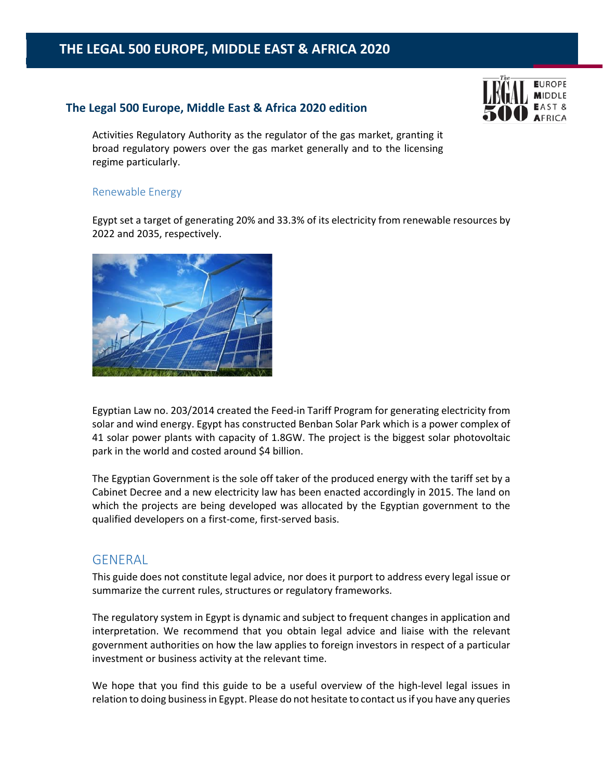### **The Legal 500 Europe, Middle East & Africa 2020 edition**



Activities Regulatory Authority as the regulator of the gas market, granting it broad regulatory powers over the gas market generally and to the licensing regime particularly.

### Renewable Energy

Egypt set a target of generating 20% and 33.3% of its electricity from renewable resources by 2022 and 2035, respectively.



Egyptian Law no. 203/2014 created the Feed‐in Tariff Program for generating electricity from solar and wind energy. Egypt has constructed Benban Solar Park which is a power complex of 41 solar power plants with capacity of 1.8GW. The project is the biggest solar photovoltaic park in the world and costed around \$4 billion.

The Egyptian Government is the sole off taker of the produced energy with the tariff set by a Cabinet Decree and a new electricity law has been enacted accordingly in 2015. The land on which the projects are being developed was allocated by the Egyptian government to the qualified developers on a first‐come, first‐served basis.

### **GENERAL**

This guide does not constitute legal advice, nor does it purport to address every legal issue or summarize the current rules, structures or regulatory frameworks.

The regulatory system in Egypt is dynamic and subject to frequent changes in application and interpretation. We recommend that you obtain legal advice and liaise with the relevant government authorities on how the law applies to foreign investors in respect of a particular investment or business activity at the relevant time.

We hope that you find this guide to be a useful overview of the high-level legal issues in relation to doing business in Egypt. Please do not hesitate to contact us if you have any queries